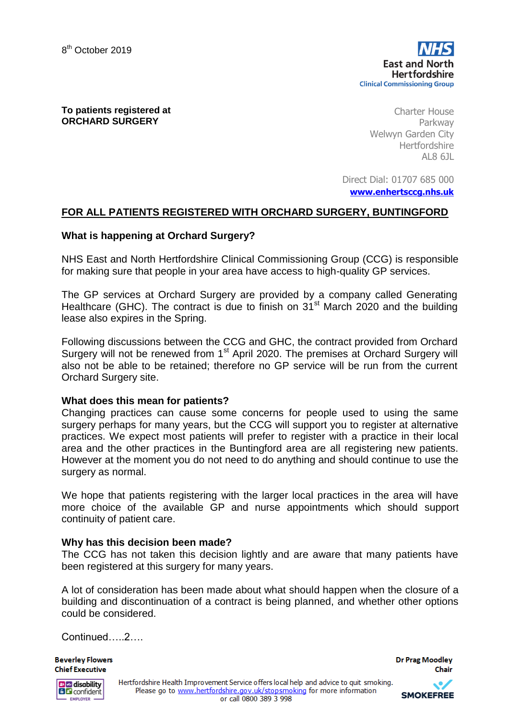**To patients registered at ORCHARD SURGERY**

Charter House Parkway Welwyn Garden City Hertfordshire AL8 6JL

Direct Dial: 01707 685 000

**[www.enhertsccg.nhs.uk](http://www.enhertsccg.nhs.uk/)**

## **FOR ALL PATIENTS REGISTERED WITH ORCHARD SURGERY, BUNTINGFORD**

### **What is happening at Orchard Surgery?**

NHS East and North Hertfordshire Clinical Commissioning Group (CCG) is responsible for making sure that people in your area have access to high-quality GP services.

The GP services at Orchard Surgery are provided by a company called Generating Healthcare (GHC). The contract is due to finish on 31<sup>st</sup> March 2020 and the building lease also expires in the Spring.

Following discussions between the CCG and GHC, the contract provided from Orchard Surgery will not be renewed from 1st April 2020. The premises at Orchard Surgery will also not be able to be retained; therefore no GP service will be run from the current Orchard Surgery site.

### **What does this mean for patients?**

Changing practices can cause some concerns for people used to using the same surgery perhaps for many years, but the CCG will support you to register at alternative practices. We expect most patients will prefer to register with a practice in their local area and the other practices in the Buntingford area are all registering new patients. However at the moment you do not need to do anything and should continue to use the surgery as normal.

We hope that patients registering with the larger local practices in the area will have more choice of the available GP and nurse appointments which should support continuity of patient care.

### **Why has this decision been made?**

The CCG has not taken this decision lightly and are aware that many patients have been registered at this surgery for many years.

A lot of consideration has been made about what should happen when the closure of a building and discontinuation of a contract is being planned, and whether other options could be considered.

Continued…..2….

**Beverley Flowers Chief Executive** 

**Dr Prag Moodley** Chair